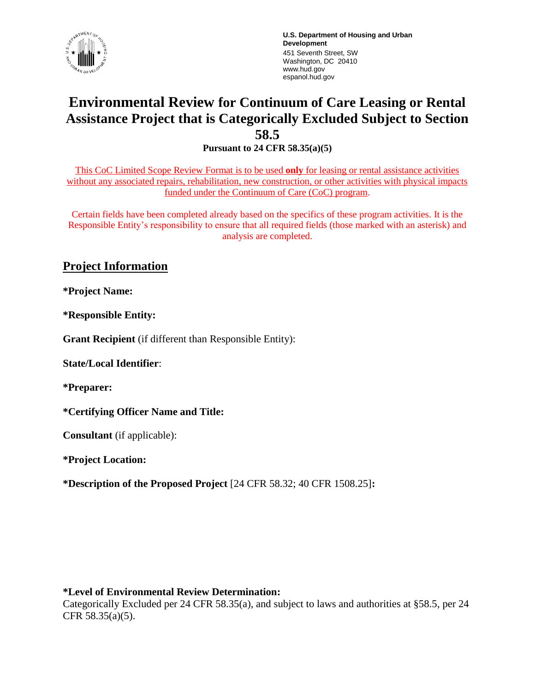

**U.S. Department of Housing and Urban Development** 451 Seventh Street, SW Washington, DC 20410 www.hud.gov espanol.hud.gov

# **Environmental Review for Continuum of Care Leasing or Rental Assistance Project that is Categorically Excluded Subject to Section 58.5**

**Pursuant to 24 CFR 58.35(a)(5)**

This CoC Limited Scope Review Format is to be used **only** for leasing or rental assistance activities without any associated repairs, rehabilitation, new construction, or other activities with physical impacts funded under the Continuum of Care (CoC) program.

Certain fields have been completed already based on the specifics of these program activities. It is the Responsible Entity's responsibility to ensure that all required fields (those marked with an asterisk) and analysis are completed.

## **Project Information**

**\*Project Name:**

**\*Responsible Entity:** 

**Grant Recipient** (if different than Responsible Entity):

**State/Local Identifier**:

**\*Preparer:**

**\*Certifying Officer Name and Title:**

**Consultant** (if applicable):

**\*Project Location:**

**\*Description of the Proposed Project** [24 CFR 58.32; 40 CFR 1508.25]**:** 

#### **\*Level of Environmental Review Determination:**

Categorically Excluded per 24 CFR 58.35(a), and subject to laws and authorities at §58.5, per 24 CFR 58.35(a)(5).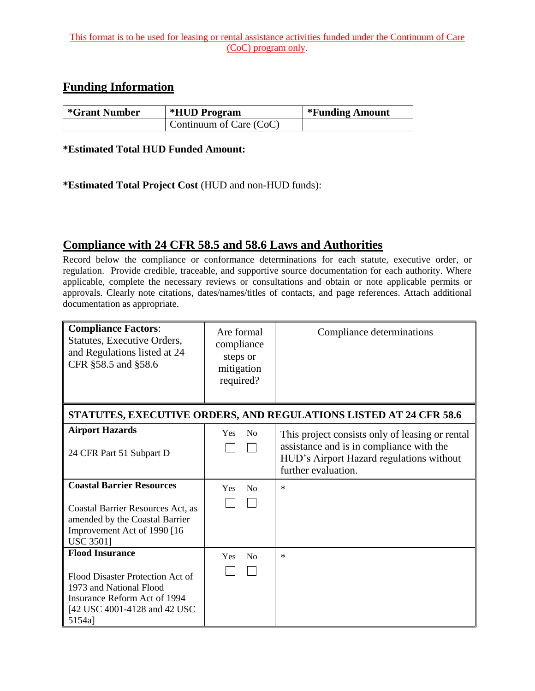## **Funding Information**

| <i>*</i> Grant Number | <i><b>*HUD Program</b></i> | *Funding Amount |
|-----------------------|----------------------------|-----------------|
|                       | Continuum of Care (CoC)    |                 |

#### **\*Estimated Total HUD Funded Amount:**

### **\*Estimated Total Project Cost** (HUD and non-HUD funds):

# **Compliance with 24 CFR 58.5 and 58.6 Laws and Authorities**

Record below the compliance or conformance determinations for each statute, executive order, or regulation. Provide credible, traceable, and supportive source documentation for each authority. Where applicable, complete the necessary reviews or consultations and obtain or note applicable permits or approvals. Clearly note citations, dates/names/titles of contacts, and page references. Attach additional documentation as appropriate.

| <b>Compliance Factors:</b><br>Statutes, Executive Orders,<br>and Regulations listed at 24<br>CFR §58.5 and §58.6                                                | Are formal<br>compliance<br>steps or<br>mitigation<br>required? | Compliance determinations                                                                                                                                      |
|-----------------------------------------------------------------------------------------------------------------------------------------------------------------|-----------------------------------------------------------------|----------------------------------------------------------------------------------------------------------------------------------------------------------------|
| STATUTES, EXECUTIVE ORDERS, AND REGULATIONS LISTED AT 24 CFR 58.6                                                                                               |                                                                 |                                                                                                                                                                |
| <b>Airport Hazards</b><br>24 CFR Part 51 Subpart D                                                                                                              | No<br>Yes<br>$\mathsf{I}$                                       | This project consists only of leasing or rental<br>assistance and is in compliance with the<br>HUD's Airport Hazard regulations without<br>further evaluation. |
| <b>Coastal Barrier Resources</b><br>Coastal Barrier Resources Act, as<br>amended by the Coastal Barrier<br>Improvement Act of 1990 [16<br><b>USC 35011</b>      | Yes<br>N <sub>0</sub>                                           | $\ast$                                                                                                                                                         |
| <b>Flood Insurance</b><br>Flood Disaster Protection Act of<br>1973 and National Flood<br>Insurance Reform Act of 1994<br>[42 USC 4001-4128 and 42 USC<br>5154a] | N <sub>0</sub><br>Yes                                           | $\ast$                                                                                                                                                         |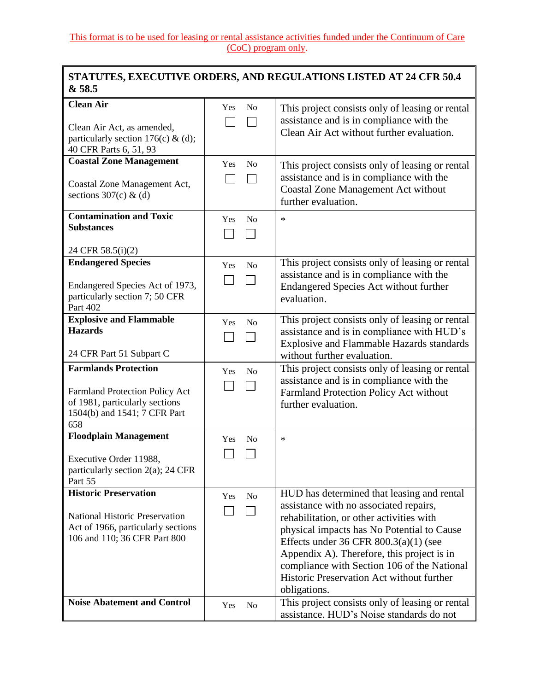#### **STATUTES, EXECUTIVE ORDERS, AND REGULATIONS LISTED AT 24 CFR 50.4 & 58.5**

| <b>Clean Air</b><br>Clean Air Act, as amended,<br>particularly section 176(c) & (d);<br>40 CFR Parts 6, 51, 93                                | Yes<br>No             | This project consists only of leasing or rental<br>assistance and is in compliance with the<br>Clean Air Act without further evaluation.                                                                                                                                                                                                                                              |
|-----------------------------------------------------------------------------------------------------------------------------------------------|-----------------------|---------------------------------------------------------------------------------------------------------------------------------------------------------------------------------------------------------------------------------------------------------------------------------------------------------------------------------------------------------------------------------------|
| <b>Coastal Zone Management</b><br>Coastal Zone Management Act,<br>sections $307(c)$ & (d)                                                     | Yes<br>N <sub>0</sub> | This project consists only of leasing or rental<br>assistance and is in compliance with the<br><b>Coastal Zone Management Act without</b><br>further evaluation.                                                                                                                                                                                                                      |
| <b>Contamination and Toxic</b><br><b>Substances</b><br>24 CFR 58.5(i)(2)                                                                      | Yes<br>N <sub>0</sub> | $\ast$                                                                                                                                                                                                                                                                                                                                                                                |
| <b>Endangered Species</b><br>Endangered Species Act of 1973,<br>particularly section 7; 50 CFR<br>Part 402                                    | No<br>Yes             | This project consists only of leasing or rental<br>assistance and is in compliance with the<br>Endangered Species Act without further<br>evaluation.                                                                                                                                                                                                                                  |
| <b>Explosive and Flammable</b><br><b>Hazards</b><br>24 CFR Part 51 Subpart C                                                                  | Yes<br>No             | This project consists only of leasing or rental<br>assistance and is in compliance with HUD's<br><b>Explosive and Flammable Hazards standards</b><br>without further evaluation.                                                                                                                                                                                                      |
| <b>Farmlands Protection</b><br><b>Farmland Protection Policy Act</b><br>of 1981, particularly sections<br>1504(b) and 1541; 7 CFR Part<br>658 | N <sub>o</sub><br>Yes | This project consists only of leasing or rental<br>assistance and is in compliance with the<br>Farmland Protection Policy Act without<br>further evaluation.                                                                                                                                                                                                                          |
| <b>Floodplain Management</b><br>Executive Order 11988,<br>particularly section $2(a)$ ; 24 CFR<br>Part 55                                     | Yes<br>No             | $\ast$                                                                                                                                                                                                                                                                                                                                                                                |
| <b>Historic Preservation</b><br><b>National Historic Preservation</b><br>Act of 1966, particularly sections<br>106 and 110; 36 CFR Part 800   | N <sub>o</sub><br>Yes | HUD has determined that leasing and rental<br>assistance with no associated repairs,<br>rehabilitation, or other activities with<br>physical impacts has No Potential to Cause<br>Effects under $36$ CFR $800.3(a)(1)$ (see<br>Appendix A). Therefore, this project is in<br>compliance with Section 106 of the National<br>Historic Preservation Act without further<br>obligations. |
| <b>Noise Abatement and Control</b>                                                                                                            | Yes<br>N <sub>o</sub> | This project consists only of leasing or rental<br>assistance. HUD's Noise standards do not                                                                                                                                                                                                                                                                                           |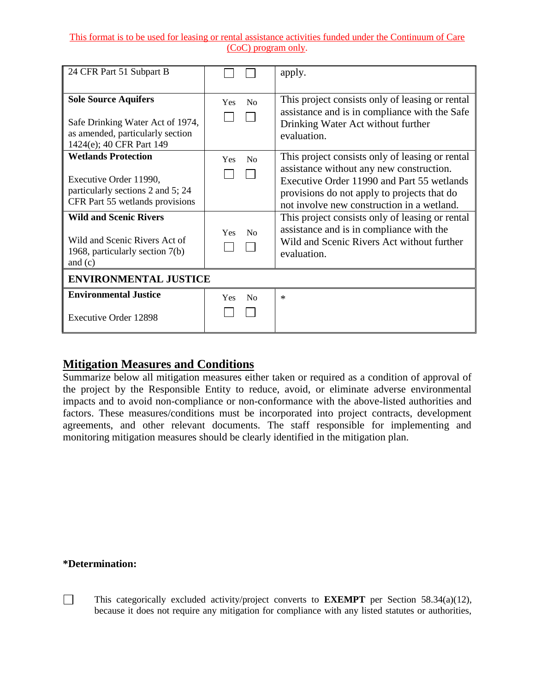| 24 CFR Part 51 Subpart B                                                                                                                                                                       |                                                       | apply.                                                                                                                                                                                                                                                                                                                                                                              |
|------------------------------------------------------------------------------------------------------------------------------------------------------------------------------------------------|-------------------------------------------------------|-------------------------------------------------------------------------------------------------------------------------------------------------------------------------------------------------------------------------------------------------------------------------------------------------------------------------------------------------------------------------------------|
| <b>Sole Source Aquifers</b><br>Safe Drinking Water Act of 1974,<br>as amended, particularly section<br>1424(e); 40 CFR Part 149                                                                | $\rm No$<br>Yes                                       | This project consists only of leasing or rental<br>assistance and is in compliance with the Safe<br>Drinking Water Act without further<br>evaluation.                                                                                                                                                                                                                               |
| <b>Wetlands Protection</b><br>Executive Order 11990,<br>particularly sections 2 and 5; 24<br>CFR Part 55 wetlands provisions<br><b>Wild and Scenic Rivers</b><br>Wild and Scenic Rivers Act of | N <sub>0</sub><br>Yes<br>N <sub>0</sub><br><b>Yes</b> | This project consists only of leasing or rental<br>assistance without any new construction.<br>Executive Order 11990 and Part 55 wetlands<br>provisions do not apply to projects that do<br>not involve new construction in a wetland.<br>This project consists only of leasing or rental<br>assistance and is in compliance with the<br>Wild and Scenic Rivers Act without further |
| 1968, particularly section 7(b)<br>and $(c)$<br><b>ENVIRONMENTAL JUSTICE</b>                                                                                                                   |                                                       | evaluation.                                                                                                                                                                                                                                                                                                                                                                         |
| <b>Environmental Justice</b>                                                                                                                                                                   | Yes<br>N <sub>0</sub>                                 | $\ast$                                                                                                                                                                                                                                                                                                                                                                              |
| <b>Executive Order 12898</b>                                                                                                                                                                   |                                                       |                                                                                                                                                                                                                                                                                                                                                                                     |

# **Mitigation Measures and Conditions**

Summarize below all mitigation measures either taken or required as a condition of approval of the project by the Responsible Entity to reduce, avoid, or eliminate adverse environmental impacts and to avoid non-compliance or non-conformance with the above-listed authorities and factors. These measures/conditions must be incorporated into project contracts, development agreements, and other relevant documents. The staff responsible for implementing and monitoring mitigation measures should be clearly identified in the mitigation plan.

#### **\*Determination:**

 $\Box$ 

This categorically excluded activity/project converts to **EXEMPT** per Section 58.34(a)(12), because it does not require any mitigation for compliance with any listed statutes or authorities,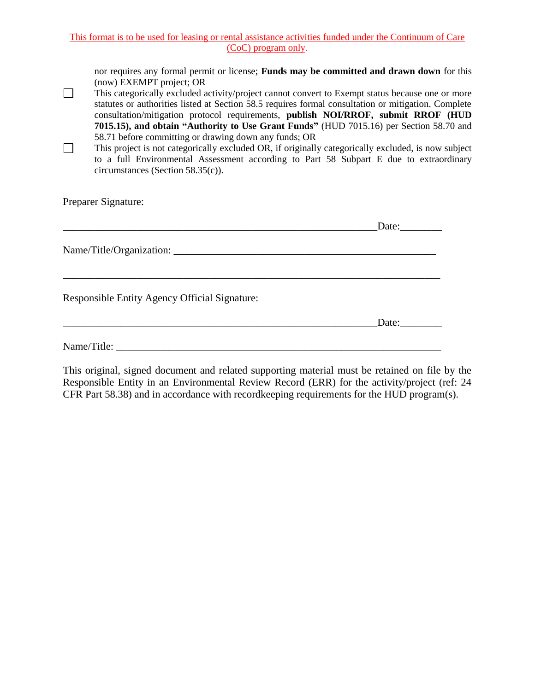nor requires any formal permit or license; **Funds may be committed and drawn down** for this (now) EXEMPT project; OR

- $\Box$ This categorically excluded activity/project cannot convert to Exempt status because one or more statutes or authorities listed at Section 58.5 requires formal consultation or mitigation. Complete consultation/mitigation protocol requirements, **publish NOI/RROF, submit RROF (HUD 7015.15), and obtain "Authority to Use Grant Funds"** (HUD 7015.16) per Section 58.70 and 58.71 before committing or drawing down any funds; OR
- $\Box$ This project is not categorically excluded OR, if originally categorically excluded, is now subject to a full Environmental Assessment according to Part 58 Subpart E due to extraordinary circumstances (Section 58.35(c)).

Preparer Signature:

|                                               | Date: |
|-----------------------------------------------|-------|
|                                               |       |
| Responsible Entity Agency Official Signature: |       |
|                                               | Date: |
| Name/Title:                                   |       |

This original, signed document and related supporting material must be retained on file by the Responsible Entity in an Environmental Review Record (ERR) for the activity/project (ref: 24 CFR Part 58.38) and in accordance with recordkeeping requirements for the HUD program(s).